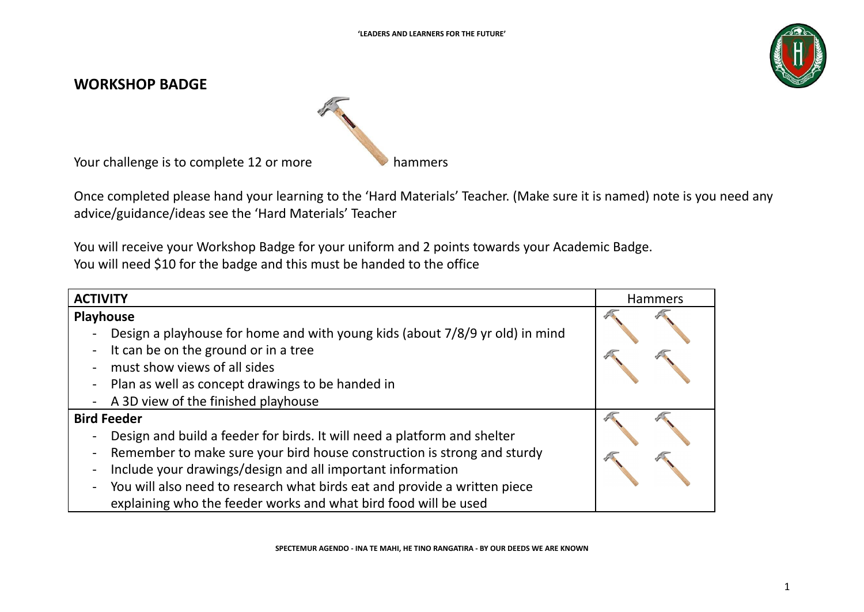

## **WORKSHOP BADGE**



Your challenge is to complete 12 or more

Once completed please hand your learning to the 'Hard Materials' Teacher. (Make sure it is named) note is you need any advice/guidance/ideas see the 'Hard Materials' Teacher

You will receive your Workshop Badge for your uniform and 2 points towards your Academic Badge. You will need \$10 for the badge and this must be handed to the office

| <b>ACTIVITY</b>                                                                                                                                                                                                                                                                                                                                                                           | Hammers |
|-------------------------------------------------------------------------------------------------------------------------------------------------------------------------------------------------------------------------------------------------------------------------------------------------------------------------------------------------------------------------------------------|---------|
| <b>Playhouse</b><br>Design a playhouse for home and with young kids (about 7/8/9 yr old) in mind<br>It can be on the ground or in a tree<br>must show views of all sides<br>- Plan as well as concept drawings to be handed in<br>- A 3D view of the finished playhouse                                                                                                                   |         |
| <b>Bird Feeder</b><br>Design and build a feeder for birds. It will need a platform and shelter<br>Remember to make sure your bird house construction is strong and sturdy<br>Include your drawings/design and all important information<br>- You will also need to research what birds eat and provide a written piece<br>explaining who the feeder works and what bird food will be used |         |